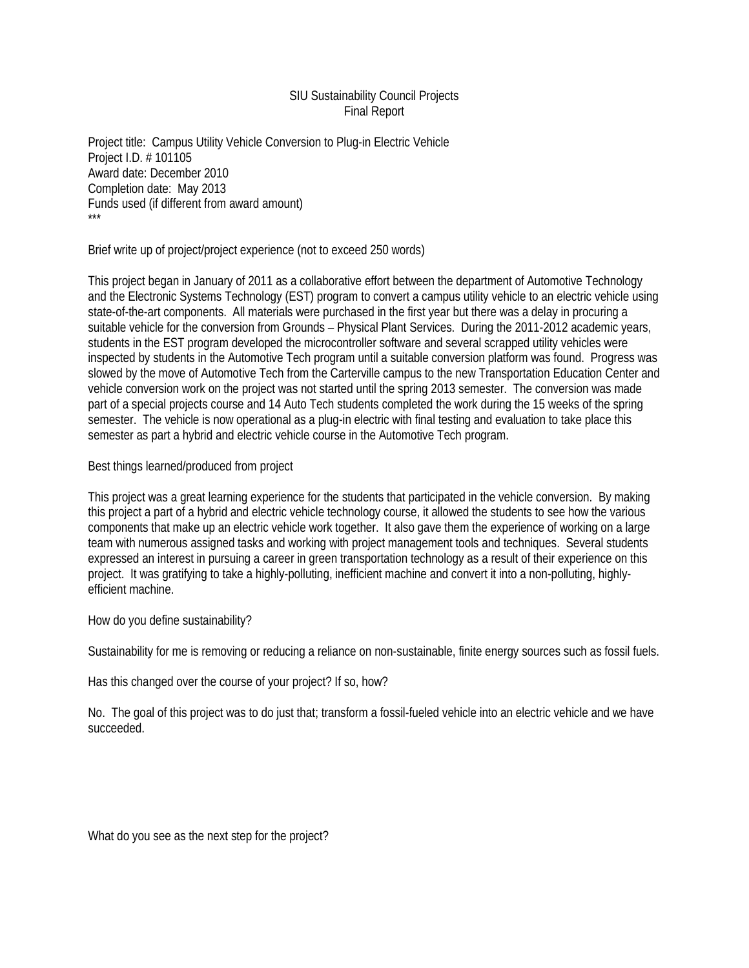## SIU Sustainability Council Projects Final Report

Project title: Campus Utility Vehicle Conversion to Plug-in Electric Vehicle Project I.D. # 101105 Award date: December 2010 Completion date: May 2013 Funds used (if different from award amount) \*\*\*

Brief write up of project/project experience (not to exceed 250 words)

This project began in January of 2011 as a collaborative effort between the department of Automotive Technology and the Electronic Systems Technology (EST) program to convert a campus utility vehicle to an electric vehicle using state-of-the-art components. All materials were purchased in the first year but there was a delay in procuring a suitable vehicle for the conversion from Grounds – Physical Plant Services. During the 2011-2012 academic years, students in the EST program developed the microcontroller software and several scrapped utility vehicles were inspected by students in the Automotive Tech program until a suitable conversion platform was found. Progress was slowed by the move of Automotive Tech from the Carterville campus to the new Transportation Education Center and vehicle conversion work on the project was not started until the spring 2013 semester. The conversion was made part of a special projects course and 14 Auto Tech students completed the work during the 15 weeks of the spring semester. The vehicle is now operational as a plug-in electric with final testing and evaluation to take place this semester as part a hybrid and electric vehicle course in the Automotive Tech program.

Best things learned/produced from project

This project was a great learning experience for the students that participated in the vehicle conversion. By making this project a part of a hybrid and electric vehicle technology course, it allowed the students to see how the various components that make up an electric vehicle work together. It also gave them the experience of working on a large team with numerous assigned tasks and working with project management tools and techniques. Several students expressed an interest in pursuing a career in green transportation technology as a result of their experience on this project. It was gratifying to take a highly-polluting, inefficient machine and convert it into a non-polluting, highlyefficient machine.

How do you define sustainability?

Sustainability for me is removing or reducing a reliance on non-sustainable, finite energy sources such as fossil fuels.

Has this changed over the course of your project? If so, how?

No. The goal of this project was to do just that; transform a fossil-fueled vehicle into an electric vehicle and we have succeeded.

What do you see as the next step for the project?